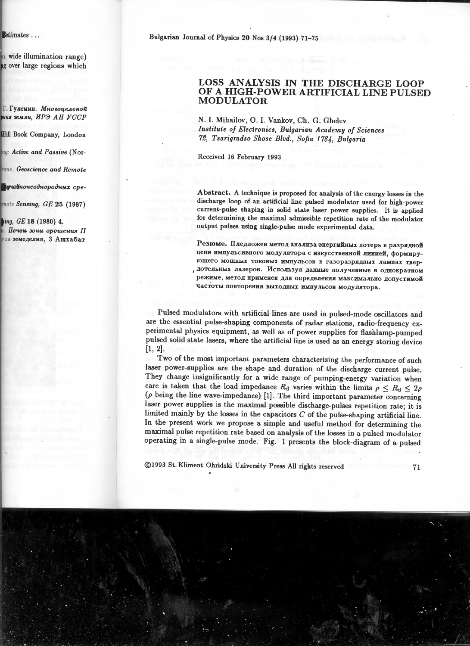Bulgarian Journal of Physics 20 Nos 3/4 (1993) 71-75

## LOSS ANALYSIS IN THE DISCHARGE LOOP OF A HIGH-POWER ARTIFICIAL LINE PULSED **MODULATOR**

N. I. Mihailov, O. I. Vankov, Ch. G. Ghelev Institute of Electronics, Bulgarian Academy of Sciences 72. Tsarigradso Shose Blvd., Sofia 1784, Bulgaria

Received 16 February 1993

Abstract. A technique is proposed for analysis of the energy losses in the discharge loop of an artificial line pulsed modulator used for high-power current-pulse shaping in solid state laser power supplies. It is applied for determining the maximal admissible repetition rate of the modulator output pulses using single-pulse mode experimental data.

Резюме. Пледложен метод анализа энергийных потерь в разрядной цепи импульсивного модулятора с изкусственной линией, формирующего мощных токовых импульсов в газоразрядных лампах твердотельных лазеров. Используя данные полученные в однократном режиме, метод применен для определения максимально допустимой частоты повторения выходных импульсов модулятора.

Pulsed modulators with artificial lines are used in pulsed-mode oscillators and are the essential pulse-shaping components of radar stations, radio-frequency experimental physics equipment, as well as of power supplies for flashlamp-pumped pulsed solid state lasers, where the artificial line is used as an energy storing device  $[1, 2].$ 

Two of the most important parameters characterizing the performance of such laser power-supplies are the shape and duration of the discharge current pulse. They change insignificantly for a wide range of pumping-energy variation when care is taken that the load impedance  $R_d$  varies within the limits  $\rho \leq R_d \leq 2\rho$ ( $\rho$  being the line wave-impedance) [1]. The third important parameter concerning laser power supplies is the maximal possible discharge-pulses repetition rate; it is limited mainly by the losses in the capacitors  $C$  of the pulse-shaping artificial line. In the present work we propose a simple and useful method for determining the maximal pulse repetition rate based on analysis of the losses in a pulsed modulator operating in a single-pulse mode. Fig. 1 presents the block-diagram of a pulsed

©1993 St. Kliment Ohridski University Press All rights reserved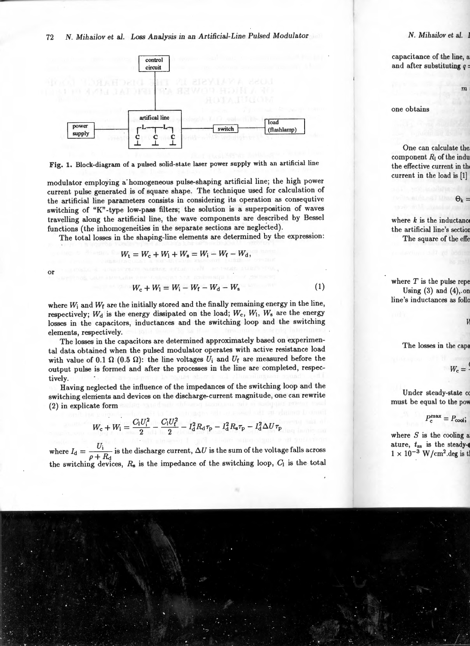



modulator employing a· homogeneous pulse-shaping artificial line; the high power current pulse generated is of square shape. The technique used for calculation of the artificial line parameters consists in considering its operation as consequtive switching of "K" -type low-pass filters; the solution is a superposition of waves travelling along the artificial line, the wave components are described by Bessel functions (the inhomogeneities in the separate sections are neglected).

The total losses in the shaping-line elements are determined by the expression:

$$
W_{\rm t} = W_{\rm c} + W_{\rm l} + W_{\rm s} = W_{\rm i} - W_{\rm f} - W_{\rm d},
$$

or

$$
W_c + W_1 = W_i - W_f - W_d - W_s \tag{1}
$$

where  $W_i$  and  $W_f$  are the initially stored and the finally remaining energy in the line, respectively;  $W_d$  is the energy dissipated on the load;  $W_c$ ,  $W_l$ ,  $W_s$  are the energy losses in the capacitors, inductances and the switching loop and the switching elements, respectively.

The losses in the capacitors are determined approximately based on experimental data obtained when the pulsed modulator operates with active resistance load with value of 0.1  $\Omega$  (0.5  $\Omega$ ): the line voltages  $U_i$  and  $U_f$  are measured before the output pulse is formed and after the processes in the line are completed, respectively.

Having neglected the influence of the impedances of the switching loop and the switching elements and devices on the discharge-current magnitude, one can rewrite (2) in explicate form

$$
W_{\rm c} + W_{\rm l} = \frac{C_{\rm l} U_{\rm i}^2}{2} - \frac{C_{\rm l} U_{\rm f}^2}{2} - I_{\rm d}^2 R_{\rm d} \tau_{\rm p} - I_{\rm d}^2 R_{\rm s} \tau_{\rm p} - I_{\rm d}^2 \Delta U \tau_{\rm p}
$$

where  $I_d = \frac{U_i}{\rho + R_d}$  is the discharge current,  $\Delta U$  is the sum of the voltage falls across the switching devices,  $R_s$  is the impedance of the switching loop,  $C_1$  is the total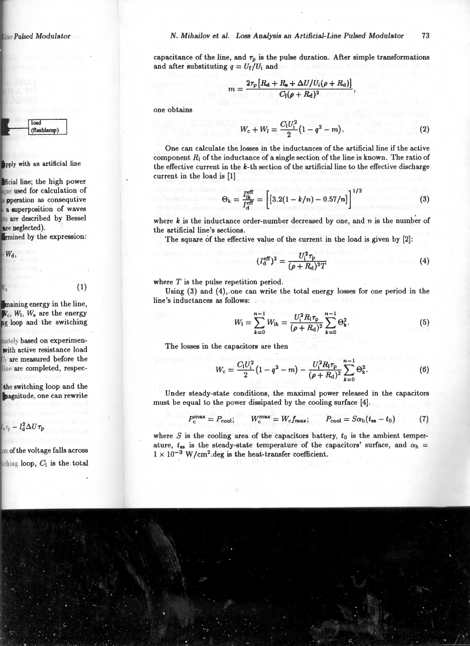capacitance of the line, and  $\tau_p$  is the pulse duration. After simple transformations and after substituting  $q = U_f/U_i$  and

$$
m = \frac{2\tau_{\rm p}[R_{\rm d}+R_{\rm s}+\Delta U/U_{\rm i}(\rho+R_{\rm d})]}{C_{\rm l}(\rho+R_{\rm d})^2}
$$

one obtains

$$
W_{\rm c} + W_1 = \frac{C_1 U_1^2}{2} (1 - q^2 - m). \tag{2}
$$

One can calculate the losses in the inductances of the artificial line if the active component  $R_1$  of the inductance of a single section of the line is known. The ratio of the effective current in the  $k$ -th section of the artificial line to the effective discharge current in the load is [1]

$$
\Theta_{\mathbf{k}} = \frac{I_{\mathbf{lk}}^{\text{eff}}}{I_{\text{d}}^{\text{eff}}} = \left[ [3.2(1 - k/n) - 0.57/n] \right]^{1/2} \tag{3}
$$

where  $k$  is the inductance order-number decreased by one, and  $n$  is the number of the artificial line's sections.

The square of the effective value of the current in the load is given by [2]:

$$
(I_{\rm d}^{\rm eff})^2 = \frac{U_{\rm i}^2 \tau_{\rm p}}{(\rho + R_{\rm d})^2 T} \tag{4}
$$

where  $T$  is the pulse repetition period.

Using  $(3)$  and  $(4)$ , one can write the total energy losses for one period in the line's inductances as follows:

$$
W_{1} = \sum_{k=0}^{n-1} W_{1k} = \frac{U_{1}^{2} R_{1} \tau_{p}}{(\rho + R_{d})^{2}} \sum_{k=0}^{n-1} \Theta_{k}^{2}.
$$
 (5)

The losses in the capacitors are then

$$
W_{\rm c} = \frac{C_1 U_1^2}{2} \left( 1 - q^2 - m \right) - \frac{U_1^2 R_1 \tau_{\rm p}}{(\rho + R_{\rm d})^2} \sum_{k=0}^{n-1} \Theta_k^2. \tag{6}
$$

Under steady-state conditions, the maximal power released in the capacitors must be equal to the power dissipated by the cooling surface [4].

$$
P_c^{\max} = P_{\text{cool}}; \qquad W_c^{\max} = W_c f_{\text{max}}; \qquad P_{\text{cool}} = S \alpha_{\text{h}} (t_{\text{ss}} - t_0) \tag{7}
$$

where S is the cooling area of the capacitors battery,  $t_0$  is the ambient temperature,  $t_{ss}$  is the steady-state temperature of the capacitors' surface, and  $\alpha_h$  =  $1 \times 10^{-3}$  W/cm<sup>2</sup>.deg is the heat-transfer coefficient.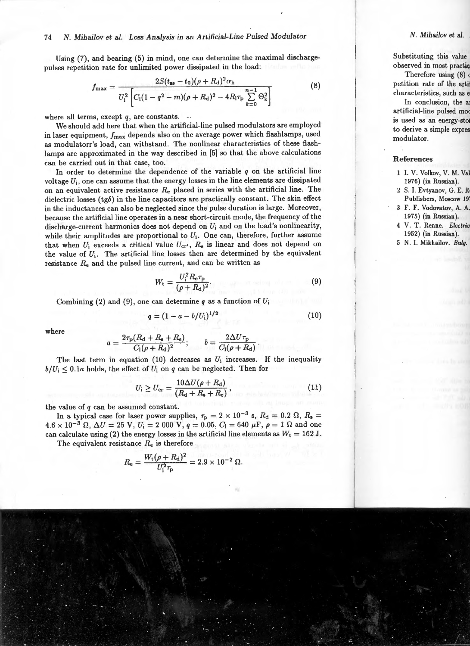## 74 *N. Mihailov et al. Loss Analysis in an Artificial-Line Pulsed Modulator*

Using (7), and bearing (5) in mind, one can determine the maximal dischargepulses repetition rate for unlimited power dissipated in the load:

$$
f_{\max} = \frac{2S(t_{\text{ss}} - t_0)(\rho + R_{\text{d}})^2 \alpha_{\text{h}}}{U_{\text{i}}^2 \left[ C_{\text{l}}(1 - q^2 - m)(\rho + R_{\text{d}})^2 - 4R_{\text{l}}\tau_{\text{p}} \sum_{k=0}^{n-1} \Theta_k^2 \right]}
$$
(8)

where all terms, except  $q$ , are constants.

We should add here that when the artificial-line pulsed modulators are employed in laser equipment,  $f_{\text{max}}$  depends also on the average power which flashlamps, used as modulatorr's load, can withstand. The nonlinear characteristics of these ftashlamps are approximated in the way described in [5) so that the above calculations can be carried out in that case, too.

In order to determine the dependence of the variable *q* on the artificial line voltage *U;,* one can assume that the energy losses in the line elements are dissipated on an equivalent active resistance  $R_e$  placed in series with the artificial line. The dielectric losses  $(tg\delta)$  in the line capacitors are practically constant. The skin effect in the inductances can also be neglected since the pulse duration is large. Moreover, because the artificial line operates in a near short-circuit mode, the frequency of the discharge-current harmonics does not depend on *U;* and on the load's nonlinearity, while their amplitudes are proportional to  $U_i$ . One can, therefore, further assume that when  $U_i$  exceeds a critical value  $U_{cr'}$ ,  $R_e$  is linear and does not depend on the value of  $U_i$ . The artificial line losses then are determined by the equivalent resistance  $R_e$  and the pulsed line current, and can be written as

$$
W_{\rm t} = \frac{U_{\rm i}^2 R_{\rm e} \tau_{\rm p}}{(\rho + R_{\rm d})^2}.
$$
 (9)

Combining (2) and (9), one can determine *q* as a function of *U;* 

$$
q = (1 - a - b/U_{\rm i})^{1/2} \tag{10}
$$

where

$$
a = \frac{2\tau_{\rm p}(R_{\rm d} + R_{\rm s} + R_{\rm e})}{C_{\rm l}(\rho + R_{\rm d})^2}; \qquad b = \frac{2\Delta U\tau_{\rm p}}{C_{\rm l}(\rho + R_{\rm d})}.
$$

The last term in equation  $(10)$  decreases as  $U_i$  increases. If the inequality  $b/U_i \leq 0.1a$  holds, the effect of  $U_i$  on  $q$  can be neglected. Then for

$$
U_{\rm i} \ge U_{\rm cr} = \frac{10\Delta U(\rho + R_{\rm d})}{(R_{\rm d} + R_{\rm s} + R_{\rm e})},\tag{11}
$$

the value of *q* can be assumed constant.

In a typical case for laser power supplies,  $\tau_p = 2 \times 10^{-3}$  s,  $R_d = 0.2 \Omega$ ,  $R_s =$  $4.6 \times 10^{-3} \Omega$ ,  $\Delta U = 25 \text{ V}$ ,  $U_i = 2000 \text{ V}$ ,  $q = 0.05$ ,  $C_l = 640 \mu \text{F}$ ,  $\rho = 1 \Omega$  and one can calculate using (2) the energy losses in the artificial line elements as  $W_t = 162$  J.

The equivalent resistance  $R_e$  is therefore

$$
R_{\rm e} = \frac{W_{\rm t}(\rho + R_{\rm d})^2}{U_{\rm i}^2 \tau_{\rm p}} = 2.9 \times 10^{-2} \ \Omega.
$$